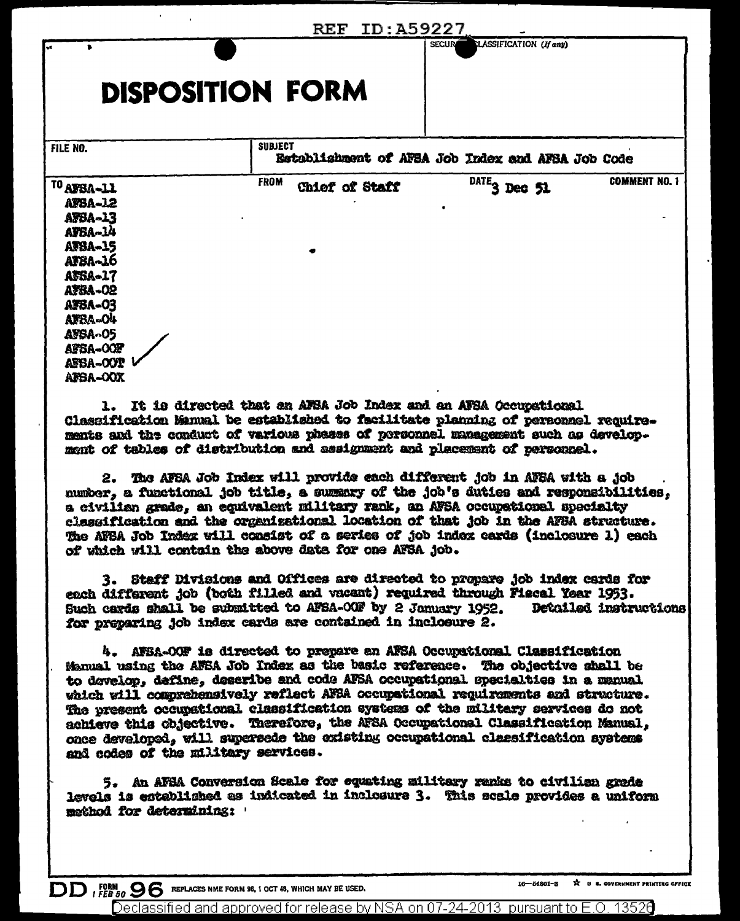|                                    | <b>ID:A59227</b><br><b>REF</b> |                                                   |                      |
|------------------------------------|--------------------------------|---------------------------------------------------|----------------------|
| s.                                 |                                | LASSIFICATION (If any)<br><b>SECUR</b>            |                      |
|                                    |                                |                                                   |                      |
| <b>DISPOSITION FORM</b>            |                                |                                                   |                      |
|                                    |                                |                                                   |                      |
| FILE NO.                           | <b>SUBJECT</b>                 | Establishment of AFSA Job Index and AFSA Job Code |                      |
| <sup>TO</sup> AFSA-11              | <b>FROM</b><br>Chief of Staff  | $\overline{DATE}$ 3 Dec 51                        | <b>COMMENT NO. 1</b> |
| AFBA-12<br>AFBA-13                 |                                |                                                   |                      |
| AFBA-14                            |                                |                                                   |                      |
| <b>AFBA-15</b><br>AFBA-16          |                                |                                                   |                      |
| <b>AFSA-17</b><br>AFBA-02          |                                |                                                   |                      |
| <b>AFBA-03</b>                     |                                |                                                   |                      |
| AFBA-O4<br>AFSA-05                 |                                |                                                   |                      |
| <b>AFSA-OOF</b>                    |                                |                                                   |                      |
| <b>AFSA-OOT</b><br><b>AFSA-OOX</b> |                                |                                                   |                      |

1. It is directed that an AFBA Job Index and an AFBA Occupational Classification Manual be established to facilitate planning of personnel requirements and the conduct of various phases of personnel management such as development of tables of distribution and assignment and placement of personnel.

2. The AFBA Job Index will provide each different job in AFBA with a job number, a functional job title, a summary of the job's duties and responsibilities, a civilian grade, an equivalent military rank, an AFSA occupational specialty classification and the organizational location of that job in the AFSA structure. The AFSA Job Index will consist of a series of job index cards (inclosure 1) each of which will contain the above date for one AFSA job.

3. Staff Divisions and Offices are directed to propare job index cards for each different job (both filled and vacant) required through Fiscal Year 1953. Such cards shall be submitted to AFSA-OOF by 2 January 1952. Detailed instructions for preparing job index cards are contained in inclosure 2.

4. AFBA-OOF is directed to prepare an AFSA Occupational Classification Manual using the AFSA Job Index as the basic reference. The objective shall be to develop, define, describe and code AFSA occupational specialties in a manual which will comprehensively reflect AFSA occupational requirements and structure. The present occupational classification systems of the military services do not achieve this objective. Therefore, the AFSA Occupational Classification Manual. once developed, will supersede the existing occupational classification svstems and codes of the military services.

5. An AFBA Conversion Scale for equating military ranks to civilian grade levels is established as indicated in inclosure 3. This acale provides a uniform method for determining:

DD, FORM **96** REPLACES NME FORM 96, 1 OCT 48, WHICH MAY BE USED.

 $\hat{\mathbf{x}}$   $\boldsymbol{\mu}$  **s.** GOVERNMENT PRINTING OFFICE  $16 - 54801 - 3$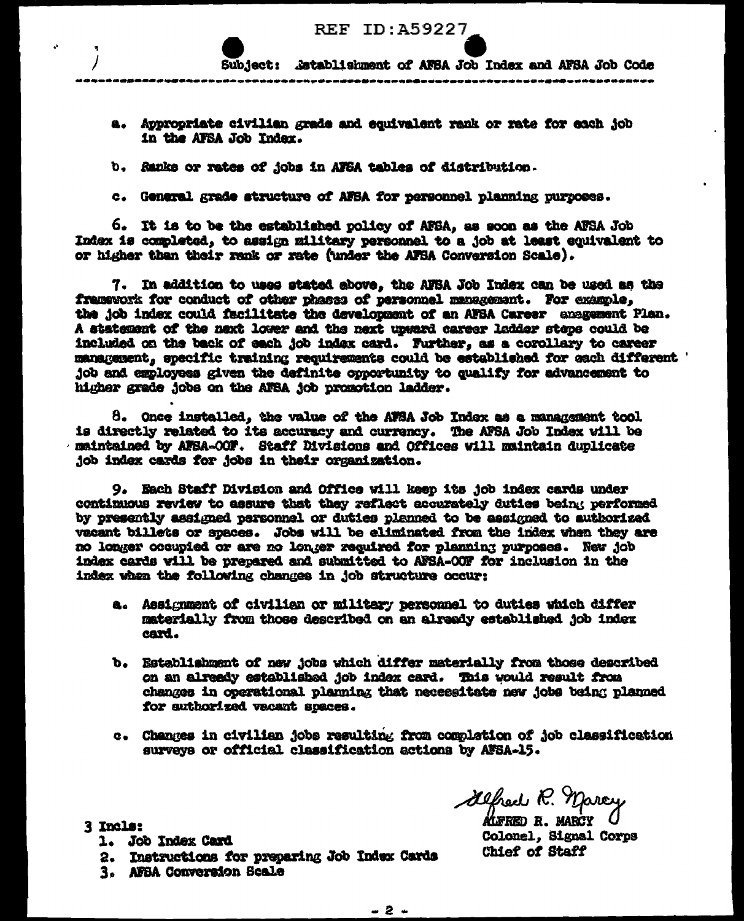**REF ID: A59227** 

Subject: . Satablishment of AFBA Job Index and AFBA Job Code

a. Appropriate civilian grade and equivalent rank or rate for each job in the AFSA Job Index.

b. Ranks or rates of jobs in AFSA tables of distribution.

c. General grade structure of AFSA for personnel planning purposes.

6. It is to be the established policy of AFSA, as soon as the AFSA Job Index is completed, to assign military personnel to a job at least equivalent to or higher than their renk or rate (under the AFSA Conversion Scale).

7. In addition to uses stated above, the AFSA Job Index can be used as the framework for conduct of other phases of personnel management. For example, the job index could facilitate the development of an AFSA Career anagement Plan. A statement of the next lower and the next upward career ladder steps could be included on the back of each job index card. Further, as a corollary to career management, specific training requirements could be established for each different ' job and employees given the definite opportunity to qualify for advancement to higher grade jobs on the AFSA job promotion ladder.

8. Once installed, the value of the AFSA Job Index as a management tool is directly related to its accuracy and currency. The AFSA Job Index will be maintained by AFSA-OOF. Staff Divisions and Offices will maintain duplicate job index cards for jobs in their organization.

9. Each Staff Division and Office will keep its job index cards under continuous review to assure that they reflect accurately duties being performed by presently assigned personnel or duties planned to be assigned to authorized væcant billets or spaces. Jobs will be eliminated from the index when they are no longer occupied or are no longer required for planning purposes. New job index cards will be prepared and submitted to AFSA-OOF for inclusion in the index when the following changes in job structure occur:

- a. Assignment of civilian or military personnel to duties which differ materially from those described on an already established job index card.
- b. Establishment of new jobs which differ materially from those described on an already established job index card. This would result from changes in operational planning that necessitate new jobs being planned for authorized vacant spaces.
- c. Changes in civilian jobs resulting from completion of job classification surveys or official classification actions by AFSA-15.

3 Incls:

- 1. Job Index Card
- 2. Instructions for preparing Job Index Cards
- 3. AFBA Conversion Scale

Alfred R. Marcy

Colonel, Signal Corps Chief of Staff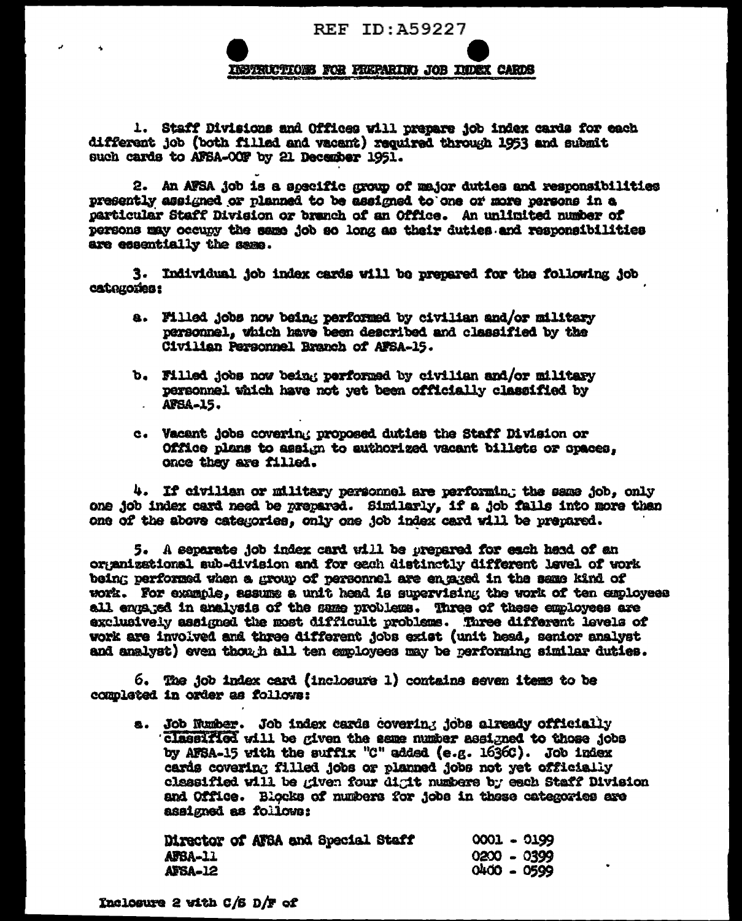**REF ID: A59227** 

IMMERICTIONS FOR FREPARING JOB INDEX CARDS

1. Staff Divisions and Offices will prepare job index cards for each different job (both filled and vacant) required through 1953 and submit such cards to AFSA-OOF by 21 December 1951.

2. An AFSA job is a specific group of major duties and responsibilities presently assigned or planned to be assigned to one or more persons in a particular Staff Division or branch of an Office. An unlimited number of persons may occupy the same job so long as their duties and responsibilities are essentially the same.

3. Individual job index cards will be prepared for the following job catonories:

- a. Filled jobs now being performed by civilian and/or military personnel, which have been described and classified by the Civilian Personnel Branch of AFSA-15.
- b. Filled jobs now being performed by civilian and/or military personnel which have not yet been officially classified by **AFSA-15.**
- c. Vacant jobs covering proposed duties the Staff Division or Office plans to assign to authorized vacant billets or opaces. once they are filled.

4. If civilian or military personnel are performing the same job, only one job index card need be prepared. Similarly, if a job falls into more than one of the above categories, only one job index card will be prepared.

5. A separate job index card will be prepared for each head of an organizational aub-division and for each distinctly different level of work being performed when a group of personnel are engaged in the seme kind of work. For example, assume a unit head is supervising the work of ten employees all engaged in analysis of the same problems. Three of these employees are exclusively assigned the most difficult problems. Three different levels of work are involved and three different jobs exist (unit head, senior analyst and analyst) even though all ten employees may be performing similar duties.

6. The job index card (inclosure 1) contains seven items to be completed in order as follows:

a. Job Wumber. Job index cards covering jobs already officially classified will be given the same number assigned to those jobs by AFSA-15 with the suffix "C" added (e.g. 1636C). Job index cards covering filled jobs or planned jobs not yet officially classified will be given four digit numbers by each Staff Division and Office. Blocks of numbers for jobs in these categories are assigned as follows:

| Director of AFSA and Special Staff |  |  | 0001 - 0199 |  |
|------------------------------------|--|--|-------------|--|
| <b>AFBA-11</b>                     |  |  | 0200 - 0399 |  |
| AFSA-12                            |  |  | 0400 - 0599 |  |

Inclosure 2 with  $C/S$  D/F of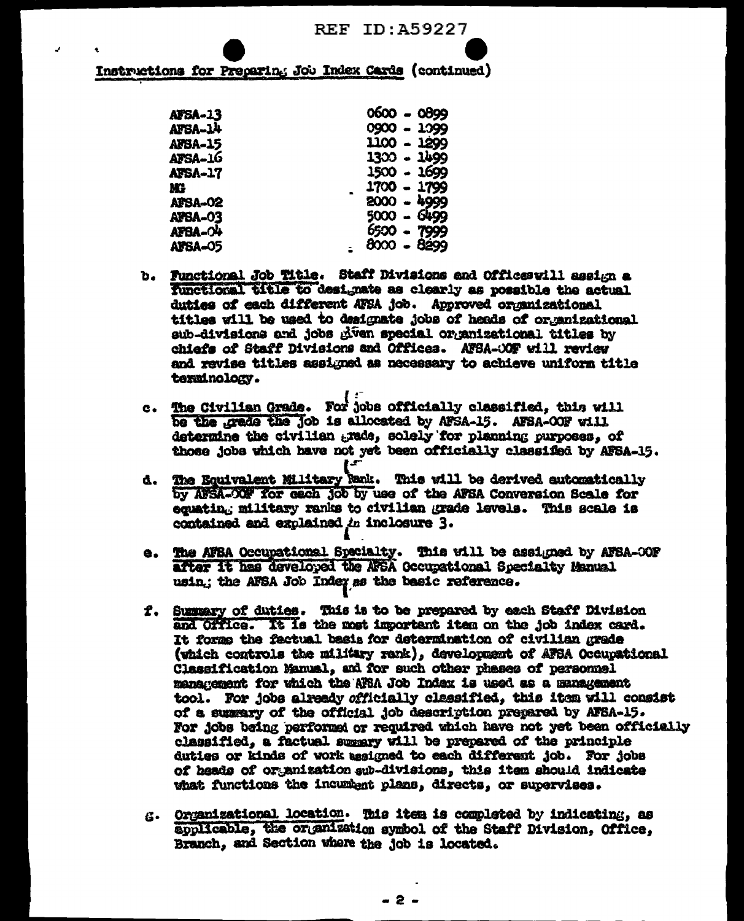**REF ID:A59227** 

Instructions for Preparing Job Index Cards (continued)

| <b>AFSA-13</b> | 0600 - 0899   |
|----------------|---------------|
| AFSA-14        | 0900 - 1099   |
| <b>AFSA-15</b> | 1100 - 1299   |
| AFSA-16        | 1300 - 1499   |
| AFSA-17        | 1500 - 1699   |
| NG.            | 1700 - 1799   |
| <b>AFSA-02</b> | 2000 - 4999   |
| <b>AFSA-03</b> | $5000 - 6499$ |
| AFBA-04        | 6500 - 7999   |
| AFSA-05        | 8000 - 8299   |

- b. Functional Job Title. Staff Divisions and Officeswill assign a functional title to designate as clearly as possible the actual duties of each different AFSA job. Approved organizational titles will be used to designate jobs of heads of organizational sub-divisions and jobs given special organizational titles by chiefs of Staff Divisions and Offices. AFSA-OOF will review and revise titles assigned as necessary to achieve uniform title texuinology.
- c. The Civilian Grade. For jobs officially classified, this will be the grade the job is allocated by AFSA-15. AFSA-OOF will determine the civilian grade, solely for planning purposes, of those jobs which have not yet been officially classified by AFSA-15.
- d. The Equivalent Military Rank. This will be derived automatically by AFSA-00F for each job by use of the AFSA Conversion Scale for equatin. military ranks to civilian grade levels. This scale is contained and explained in inclosure 3.
- e. The AFBA Occupational Specialty. This will be assigned by AFSA-OOF after it has developed the AFSA Occupational Specialty Manual using the AFSA Job Index as the basic reference.
- f. Summary of duties. This is to be prepared by each Staff Division and Office. It is the most important item on the job index card. It forms the fectual basis for determination of civilian grade (which controls the military rank), develousent of AFSA Occupational Classification Manual, and for such other phases of personnel management for which the AFSA Job Index is used as a management tool. For jobs already officially classified, this item will consist of a summary of the official job description prepared by AFSA-15. For jobs being performed or required which have not yet been officially classified, a factual summary will be prepared of the principle duties or kinds of work assigned to each different job. For jobs of heads of organization sub-divisions, this item should indicate what functions the incumbent plans, directs, or supervises.
- g. Organizational location. This item is completed by indicating, as applicable, the organization symbol of the Staff Division, Office, Branch, and Section where the job is located.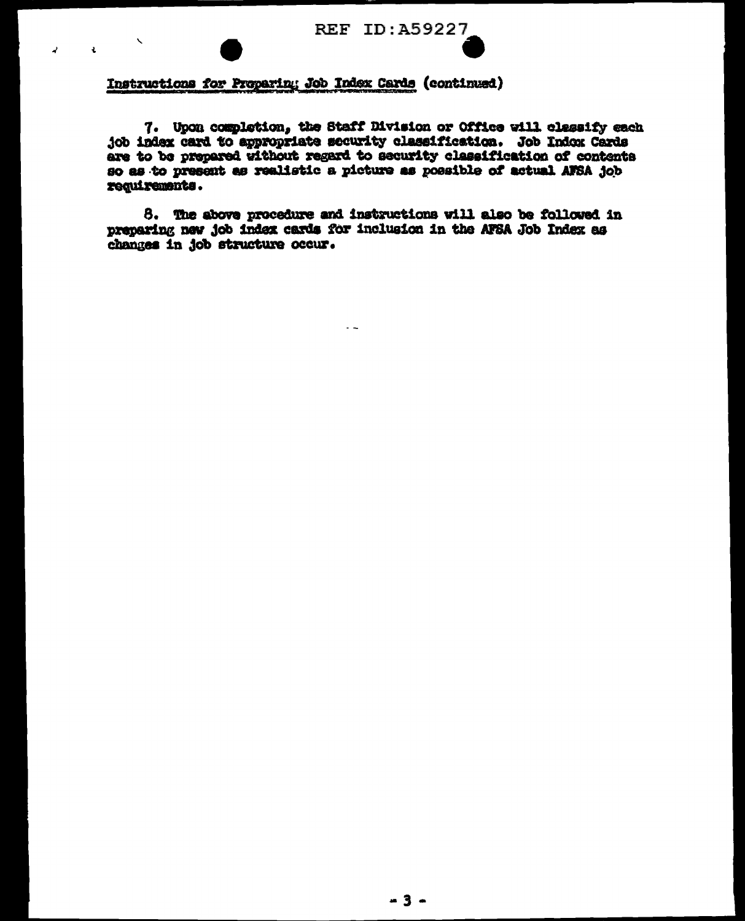**REF ID: A59227** 

## Instructions for Preparing Job Index Cards (continued)

 $\overline{\phantom{0}}$ 

 $\mathbf{r}$ 

 $\mathbf{c}$ 

7. Upon completion, the Staff Division or Office will classify each job index card to appropriate security classification. Job Indox Cards are to be prepared without regard to security classification of contents so as to present as realistic a picture as possible of actual AFSA job requirements.

8. The above procedure and instructions will also be followed in preparing new job index cards for inclusion in the AFSA Job Index as changes in job structure occur.

 $\sim$   $\sim$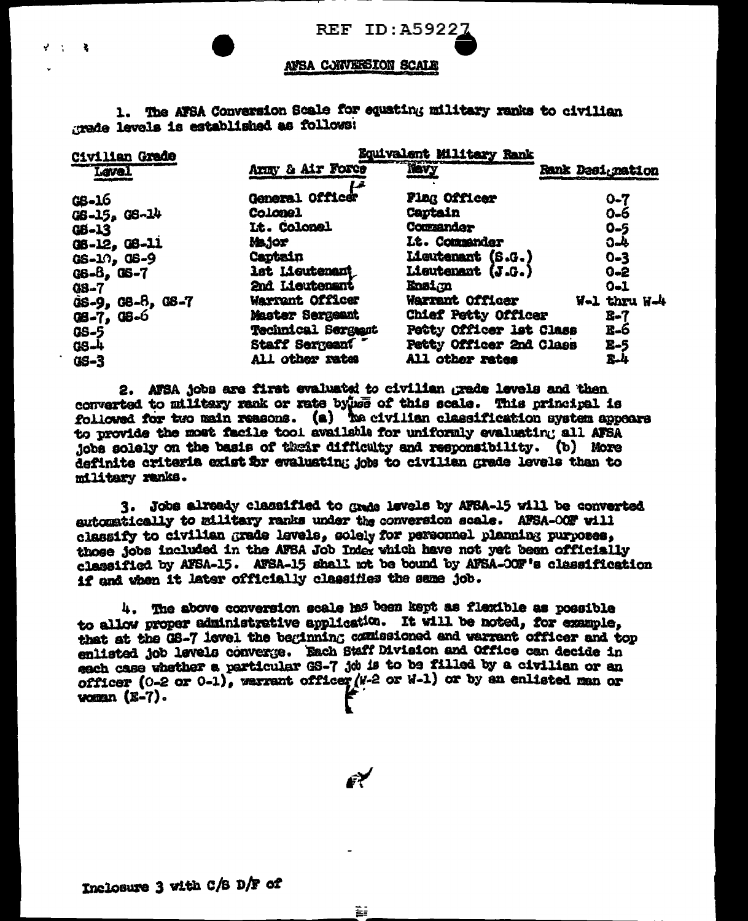| REF | ID:A59227 |  |  |  |  |  |  |
|-----|-----------|--|--|--|--|--|--|
|-----|-----------|--|--|--|--|--|--|

## AVSA CONVERSION SCALE

1. The AFSA Conversion Scale for equating military ranks to civilian made levels is established as follows:

| <b>Civilian Grade</b> | Equivalent Military Rank |                         |                  |  |  |  |  |  |  |
|-----------------------|--------------------------|-------------------------|------------------|--|--|--|--|--|--|
| Level                 | Army & Air Force<br>Lē   | Nevy                    | Rank Designation |  |  |  |  |  |  |
| GB-16                 | General Officer          | Flag Officer            | $O - 7$          |  |  |  |  |  |  |
| GS-15, GS-14          | Colonel                  | Captain                 | 0-6              |  |  |  |  |  |  |
| GB-13                 | Lt. Colonel              | <b>Commander</b>        | $0 - 5$          |  |  |  |  |  |  |
| 08-12, 08-11          | Major                    | Lt. Commander           | 5-4              |  |  |  |  |  |  |
| $OS-10, OS-9$         | Captain                  | Lieutenant (S.G.)       | $0 - 3$          |  |  |  |  |  |  |
| $G5 - B$ , $G5 - 7$   | lat Lieutenant           | Lieutenant (J.G.)       | $0 - 2$          |  |  |  |  |  |  |
| <b>G8-7</b>           | 2nd Lieutenant           | Ensign                  | $0 - 1$          |  |  |  |  |  |  |
| ds-9, 08-8, 08-7      | Warrant Officer          | Warrant Officer         | W-1 thru W-4     |  |  |  |  |  |  |
| $0.8 - 7, 0.8 - 6$    | Master Sergeant          | Chief Petty Officer     | B-7              |  |  |  |  |  |  |
| <b>QS-5</b>           | Technical Sergeant       | Petty Officer lst Class | <b>B-6</b>       |  |  |  |  |  |  |
| GS-4                  | <b>Staff Sergeant</b>    | Petty Officer 2nd Class | E-5              |  |  |  |  |  |  |
| $US-3$                | All other rates          | All other rates         | B. 4             |  |  |  |  |  |  |

2. AFSA jobs are first evaluated to civilian grade levels and then converted to military rank or rate bying of this scale. This principal is followed for two main reasons. (a) has civilian classification system appears to provide the most facile tool available for uniformly evaluating all AFSA jobs solely on the basis of their difficulty and responsibility. (b) More definite criteria exist for evaluating jobs to civilian grade levels than to military ranks.

3. Jobs already classified to grade levels by AFSA-15 will be converted automatically to military ranks under the conversion scale. AFSA-OOF will classify to civilian grade levels, solely for personnel planning purposes, those jobs included in the AFSA Job Index which have not yet been officially classified by AFSA-15. AFSA-15 shall not be bound by AFSA-OOF's classification if and when it later officially classifies the same job.

4. The above conversion scale has been kept as flexible as possible to allow proper administrative application. It will be noted, for example. that at the GS-7 level the beginning comissioned and warrant officer and top emlisted job levels converge. Each Staff Division and Office can decide in each case whether a particular GS-7 job is to be filled by a civilian or an officer (0-2 or 0-1), warrant officer (W-2 or W-1) or by an enlisted man or  $v<sub>conn</sub>$  (E-7).

æY

Inclosure 3 with C/S D/F of

 $\mathcal{L} = \mathcal{L}$  $\mathbf{z}$